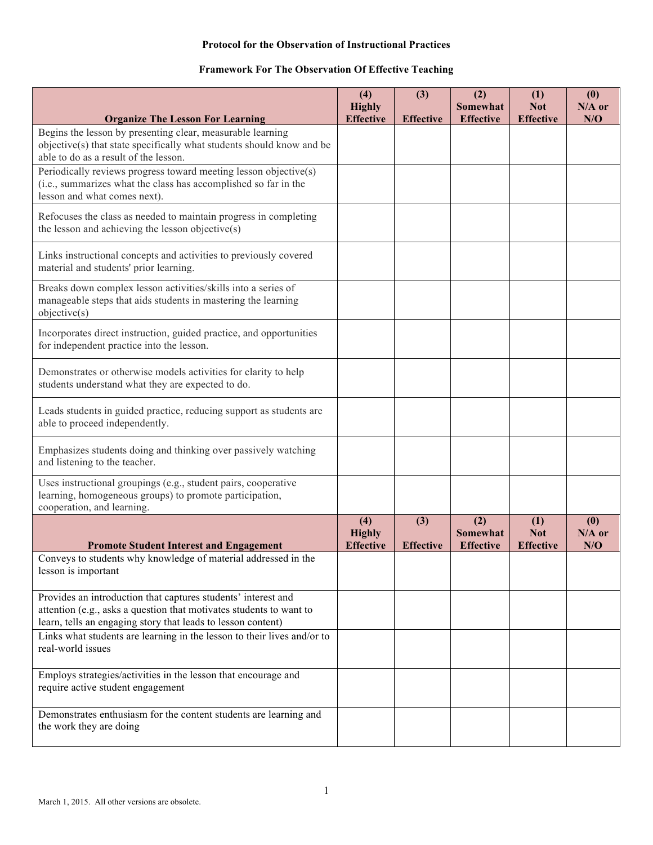# **Framework For The Observation Of Effective Teaching**

|                                                                                                                                                                                                      | (4)<br><b>Highly</b><br><b>Effective</b> | (3)<br><b>Effective</b> | (2)<br>Somewhat<br><b>Effective</b> | (1)<br><b>Not</b><br><b>Effective</b> | (0)<br>$N/A$ or<br>N/O |
|------------------------------------------------------------------------------------------------------------------------------------------------------------------------------------------------------|------------------------------------------|-------------------------|-------------------------------------|---------------------------------------|------------------------|
| <b>Organize The Lesson For Learning</b><br>Begins the lesson by presenting clear, measurable learning                                                                                                |                                          |                         |                                     |                                       |                        |
| objective(s) that state specifically what students should know and be<br>able to do as a result of the lesson.                                                                                       |                                          |                         |                                     |                                       |                        |
| Periodically reviews progress toward meeting lesson objective(s)<br>(i.e., summarizes what the class has accomplished so far in the<br>lesson and what comes next).                                  |                                          |                         |                                     |                                       |                        |
| Refocuses the class as needed to maintain progress in completing<br>the lesson and achieving the lesson objective(s)                                                                                 |                                          |                         |                                     |                                       |                        |
| Links instructional concepts and activities to previously covered<br>material and students' prior learning.                                                                                          |                                          |                         |                                     |                                       |                        |
| Breaks down complex lesson activities/skills into a series of<br>manageable steps that aids students in mastering the learning<br>objective(s)                                                       |                                          |                         |                                     |                                       |                        |
| Incorporates direct instruction, guided practice, and opportunities<br>for independent practice into the lesson.                                                                                     |                                          |                         |                                     |                                       |                        |
| Demonstrates or otherwise models activities for clarity to help<br>students understand what they are expected to do.                                                                                 |                                          |                         |                                     |                                       |                        |
| Leads students in guided practice, reducing support as students are<br>able to proceed independently.                                                                                                |                                          |                         |                                     |                                       |                        |
| Emphasizes students doing and thinking over passively watching<br>and listening to the teacher.                                                                                                      |                                          |                         |                                     |                                       |                        |
| Uses instructional groupings (e.g., student pairs, cooperative<br>learning, homogeneous groups) to promote participation,<br>cooperation, and learning.                                              |                                          |                         |                                     |                                       |                        |
|                                                                                                                                                                                                      | (4)<br><b>Highly</b><br><b>Effective</b> | (3)<br><b>Effective</b> | (2)<br>Somewhat<br><b>Effective</b> | (1)<br><b>Not</b><br><b>Effective</b> | (0)<br>$N/A$ or<br>N/O |
| <b>Promote Student Interest and Engagement</b><br>Conveys to students why knowledge of material addressed in the                                                                                     |                                          |                         |                                     |                                       |                        |
| lesson is important                                                                                                                                                                                  |                                          |                         |                                     |                                       |                        |
| Provides an introduction that captures students' interest and<br>attention (e.g., asks a question that motivates students to want to<br>learn, tells an engaging story that leads to lesson content) |                                          |                         |                                     |                                       |                        |
| Links what students are learning in the lesson to their lives and/or to<br>real-world issues                                                                                                         |                                          |                         |                                     |                                       |                        |
| Employs strategies/activities in the lesson that encourage and<br>require active student engagement                                                                                                  |                                          |                         |                                     |                                       |                        |
| Demonstrates enthusiasm for the content students are learning and<br>the work they are doing                                                                                                         |                                          |                         |                                     |                                       |                        |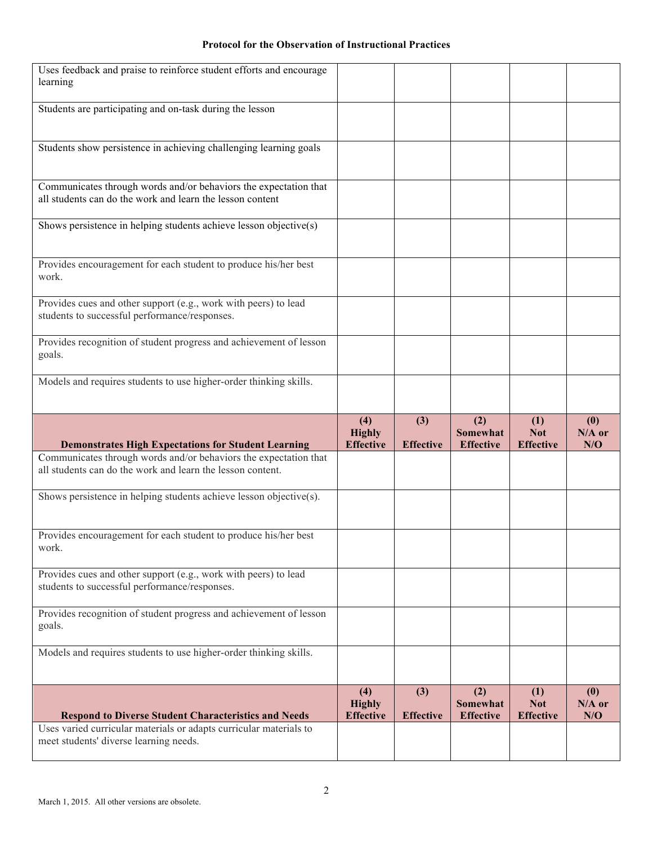| Uses feedback and praise to reinforce student efforts and encourage<br>learning                                                                                                              |                                          |                         |                                            |                                       |                        |
|----------------------------------------------------------------------------------------------------------------------------------------------------------------------------------------------|------------------------------------------|-------------------------|--------------------------------------------|---------------------------------------|------------------------|
| Students are participating and on-task during the lesson                                                                                                                                     |                                          |                         |                                            |                                       |                        |
|                                                                                                                                                                                              |                                          |                         |                                            |                                       |                        |
| Students show persistence in achieving challenging learning goals                                                                                                                            |                                          |                         |                                            |                                       |                        |
| Communicates through words and/or behaviors the expectation that<br>all students can do the work and learn the lesson content                                                                |                                          |                         |                                            |                                       |                        |
| Shows persistence in helping students achieve lesson objective(s)                                                                                                                            |                                          |                         |                                            |                                       |                        |
| Provides encouragement for each student to produce his/her best<br>work.                                                                                                                     |                                          |                         |                                            |                                       |                        |
| Provides cues and other support (e.g., work with peers) to lead<br>students to successful performance/responses.                                                                             |                                          |                         |                                            |                                       |                        |
| Provides recognition of student progress and achievement of lesson<br>goals.                                                                                                                 |                                          |                         |                                            |                                       |                        |
| Models and requires students to use higher-order thinking skills.                                                                                                                            |                                          |                         |                                            |                                       |                        |
|                                                                                                                                                                                              |                                          |                         |                                            |                                       |                        |
|                                                                                                                                                                                              | (4)<br><b>Highly</b><br><b>Effective</b> | (3)                     | (2)<br><b>Somewhat</b>                     | (1)<br><b>Not</b><br><b>Effective</b> | (0)<br>$N/A$ or<br>N/O |
| <b>Demonstrates High Expectations for Student Learning</b><br>Communicates through words and/or behaviors the expectation that<br>all students can do the work and learn the lesson content. |                                          | <b>Effective</b>        | <b>Effective</b>                           |                                       |                        |
| Shows persistence in helping students achieve lesson objective(s).                                                                                                                           |                                          |                         |                                            |                                       |                        |
| Provides encouragement for each student to produce his/her best<br>work.                                                                                                                     |                                          |                         |                                            |                                       |                        |
| Provides cues and other support (e.g., work with peers) to lead<br>students to successful performance/responses.                                                                             |                                          |                         |                                            |                                       |                        |
| Provides recognition of student progress and achievement of lesson<br>goals.                                                                                                                 |                                          |                         |                                            |                                       |                        |
| Models and requires students to use higher-order thinking skills.                                                                                                                            |                                          |                         |                                            |                                       |                        |
| <b>Respond to Diverse Student Characteristics and Needs</b>                                                                                                                                  | (4)<br><b>Highly</b><br><b>Effective</b> | (3)<br><b>Effective</b> | (2)<br><b>Somewhat</b><br><b>Effective</b> | (1)<br><b>Not</b><br><b>Effective</b> | (0)<br>$N/A$ or<br>N/O |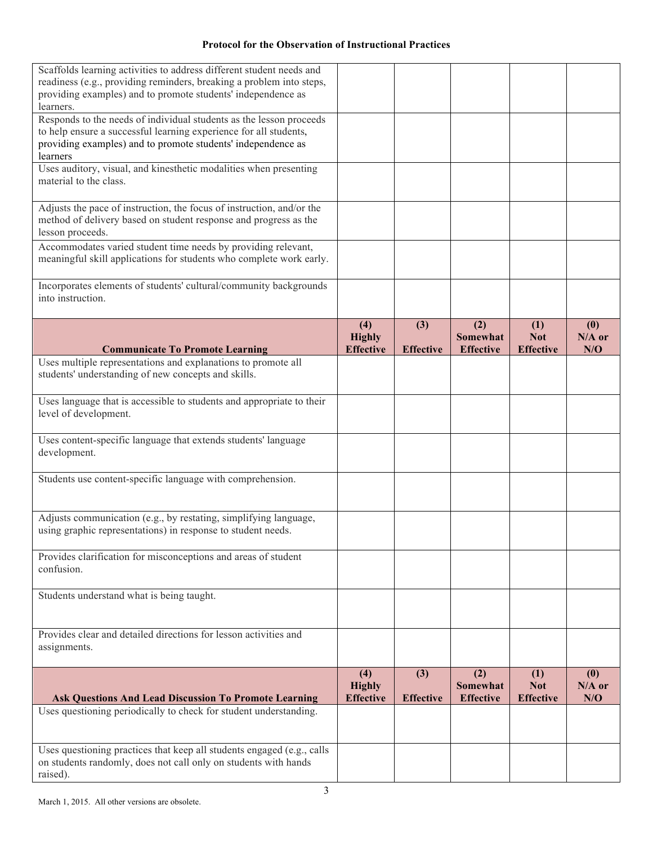| Scaffolds learning activities to address different student needs and<br>readiness (e.g., providing reminders, breaking a problem into steps,<br>providing examples) and to promote students' independence as<br>learners. |                                          |                         |                                            |                                       |                        |
|---------------------------------------------------------------------------------------------------------------------------------------------------------------------------------------------------------------------------|------------------------------------------|-------------------------|--------------------------------------------|---------------------------------------|------------------------|
| Responds to the needs of individual students as the lesson proceeds<br>to help ensure a successful learning experience for all students,<br>providing examples) and to promote students' independence as<br>learners      |                                          |                         |                                            |                                       |                        |
| Uses auditory, visual, and kinesthetic modalities when presenting<br>material to the class.                                                                                                                               |                                          |                         |                                            |                                       |                        |
| Adjusts the pace of instruction, the focus of instruction, and/or the<br>method of delivery based on student response and progress as the<br>lesson proceeds.                                                             |                                          |                         |                                            |                                       |                        |
| Accommodates varied student time needs by providing relevant,<br>meaningful skill applications for students who complete work early.                                                                                      |                                          |                         |                                            |                                       |                        |
| Incorporates elements of students' cultural/community backgrounds<br>into instruction.                                                                                                                                    |                                          |                         |                                            |                                       |                        |
| <b>Communicate To Promote Learning</b>                                                                                                                                                                                    | (4)<br><b>Highly</b><br><b>Effective</b> | (3)<br><b>Effective</b> | (2)<br><b>Somewhat</b><br><b>Effective</b> | (1)<br><b>Not</b><br><b>Effective</b> | (0)<br>$N/A$ or<br>N/O |
| Uses multiple representations and explanations to promote all                                                                                                                                                             |                                          |                         |                                            |                                       |                        |
| students' understanding of new concepts and skills.                                                                                                                                                                       |                                          |                         |                                            |                                       |                        |
| Uses language that is accessible to students and appropriate to their<br>level of development.                                                                                                                            |                                          |                         |                                            |                                       |                        |
| Uses content-specific language that extends students' language<br>development.                                                                                                                                            |                                          |                         |                                            |                                       |                        |
| Students use content-specific language with comprehension.                                                                                                                                                                |                                          |                         |                                            |                                       |                        |
| Adjusts communication (e.g., by restating, simplifying language,<br>using graphic representations) in response to student needs.                                                                                          |                                          |                         |                                            |                                       |                        |
| Provides clarification for misconceptions and areas of student<br>confusion.                                                                                                                                              |                                          |                         |                                            |                                       |                        |
| Students understand what is being taught.                                                                                                                                                                                 |                                          |                         |                                            |                                       |                        |
| Provides clear and detailed directions for lesson activities and<br>assignments.                                                                                                                                          |                                          |                         |                                            |                                       |                        |
| <b>Ask Questions And Lead Discussion To Promote Learning</b>                                                                                                                                                              | (4)<br><b>Highly</b><br><b>Effective</b> | (3)<br><b>Effective</b> | (2)<br><b>Somewhat</b><br><b>Effective</b> | (1)<br><b>Not</b><br><b>Effective</b> | (0)<br>$N/A$ or<br>N/O |
| Uses questioning periodically to check for student understanding.                                                                                                                                                         |                                          |                         |                                            |                                       |                        |
| Uses questioning practices that keep all students engaged (e.g., calls<br>on students randomly, does not call only on students with hands<br>raised).                                                                     |                                          |                         |                                            |                                       |                        |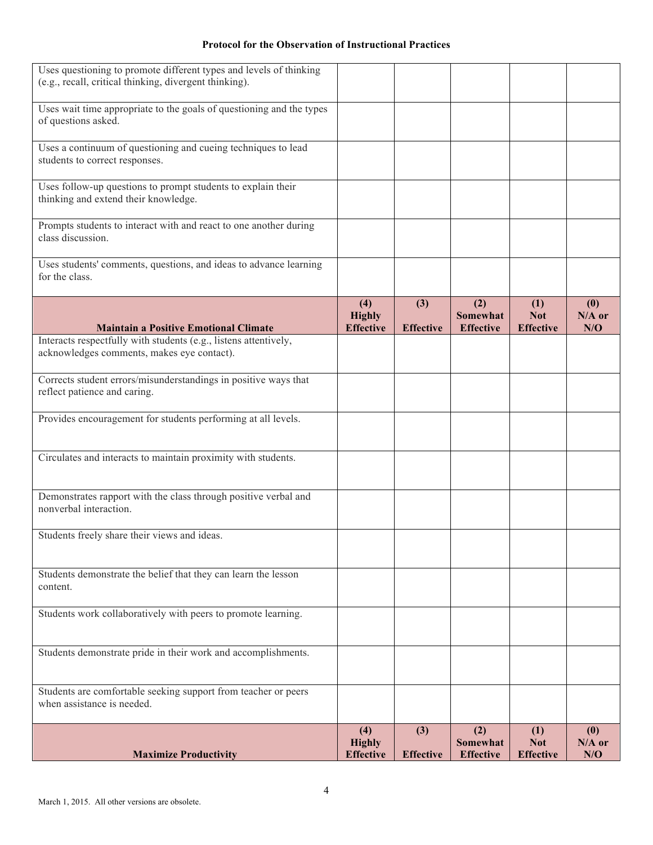| Uses questioning to promote different types and levels of thinking<br>(e.g., recall, critical thinking, divergent thinking). |                                          |                         |                                            |                                       |                        |
|------------------------------------------------------------------------------------------------------------------------------|------------------------------------------|-------------------------|--------------------------------------------|---------------------------------------|------------------------|
| Uses wait time appropriate to the goals of questioning and the types<br>of questions asked.                                  |                                          |                         |                                            |                                       |                        |
| Uses a continuum of questioning and cueing techniques to lead<br>students to correct responses.                              |                                          |                         |                                            |                                       |                        |
| Uses follow-up questions to prompt students to explain their<br>thinking and extend their knowledge.                         |                                          |                         |                                            |                                       |                        |
| Prompts students to interact with and react to one another during<br>class discussion.                                       |                                          |                         |                                            |                                       |                        |
| Uses students' comments, questions, and ideas to advance learning<br>for the class.                                          |                                          |                         |                                            |                                       |                        |
| <b>Maintain a Positive Emotional Climate</b>                                                                                 | (4)<br><b>Highly</b><br><b>Effective</b> | (3)<br><b>Effective</b> | (2)<br><b>Somewhat</b><br><b>Effective</b> | (1)<br><b>Not</b><br><b>Effective</b> | (0)<br>$N/A$ or<br>N/O |
| Interacts respectfully with students (e.g., listens attentively,<br>acknowledges comments, makes eye contact).               |                                          |                         |                                            |                                       |                        |
| Corrects student errors/misunderstandings in positive ways that<br>reflect patience and caring.                              |                                          |                         |                                            |                                       |                        |
| Provides encouragement for students performing at all levels.                                                                |                                          |                         |                                            |                                       |                        |
| Circulates and interacts to maintain proximity with students.                                                                |                                          |                         |                                            |                                       |                        |
| Demonstrates rapport with the class through positive verbal and<br>nonverbal interaction.                                    |                                          |                         |                                            |                                       |                        |
| Students freely share their views and ideas.                                                                                 |                                          |                         |                                            |                                       |                        |
| Students demonstrate the belief that they can learn the lesson<br>content.                                                   |                                          |                         |                                            |                                       |                        |
| Students work collaboratively with peers to promote learning.                                                                |                                          |                         |                                            |                                       |                        |
| Students demonstrate pride in their work and accomplishments.                                                                |                                          |                         |                                            |                                       |                        |
| Students are comfortable seeking support from teacher or peers<br>when assistance is needed.                                 |                                          |                         |                                            |                                       |                        |
| <b>Maximize Productivity</b>                                                                                                 | (4)<br><b>Highly</b><br><b>Effective</b> | (3)<br><b>Effective</b> | (2)<br>Somewhat<br><b>Effective</b>        | (1)<br><b>Not</b><br><b>Effective</b> | (0)<br>$N/A$ or<br>N/O |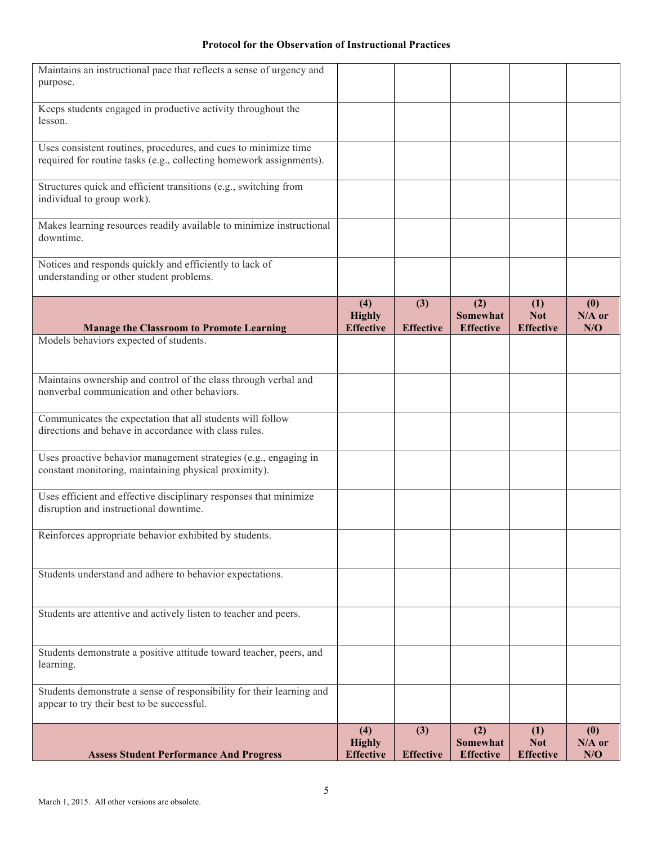| Maintains an instructional pace that reflects a sense of urgency and                                                |                                   |                  |                        |                   |                 |
|---------------------------------------------------------------------------------------------------------------------|-----------------------------------|------------------|------------------------|-------------------|-----------------|
| purpose.                                                                                                            |                                   |                  |                        |                   |                 |
| Keeps students engaged in productive activity throughout the                                                        |                                   |                  |                        |                   |                 |
| lesson.                                                                                                             |                                   |                  |                        |                   |                 |
| Uses consistent routines, procedures, and cues to minimize time                                                     |                                   |                  |                        |                   |                 |
| required for routine tasks (e.g., collecting homework assignments).                                                 |                                   |                  |                        |                   |                 |
| Structures quick and efficient transitions (e.g., switching from<br>individual to group work).                      |                                   |                  |                        |                   |                 |
|                                                                                                                     |                                   |                  |                        |                   |                 |
| Makes learning resources readily available to minimize instructional<br>downtime.                                   |                                   |                  |                        |                   |                 |
| Notices and responds quickly and efficiently to lack of                                                             |                                   |                  |                        |                   |                 |
| understanding or other student problems.                                                                            |                                   |                  |                        |                   |                 |
|                                                                                                                     | (4)                               | (3)              | (2)<br><b>Somewhat</b> | (1)<br><b>Not</b> | (0)             |
| <b>Manage the Classroom to Promote Learning</b>                                                                     | <b>Highly</b><br><b>Effective</b> | <b>Effective</b> | <b>Effective</b>       | <b>Effective</b>  | $N/A$ or<br>N/O |
| Models behaviors expected of students.                                                                              |                                   |                  |                        |                   |                 |
|                                                                                                                     |                                   |                  |                        |                   |                 |
| Maintains ownership and control of the class through verbal and                                                     |                                   |                  |                        |                   |                 |
| nonverbal communication and other behaviors.                                                                        |                                   |                  |                        |                   |                 |
| Communicates the expectation that all students will follow                                                          |                                   |                  |                        |                   |                 |
| directions and behave in accordance with class rules.                                                               |                                   |                  |                        |                   |                 |
| Uses proactive behavior management strategies (e.g., engaging in                                                    |                                   |                  |                        |                   |                 |
| constant monitoring, maintaining physical proximity).                                                               |                                   |                  |                        |                   |                 |
| Uses efficient and effective disciplinary responses that minimize                                                   |                                   |                  |                        |                   |                 |
| disruption and instructional downtime.                                                                              |                                   |                  |                        |                   |                 |
| Reinforces appropriate behavior exhibited by students.                                                              |                                   |                  |                        |                   |                 |
|                                                                                                                     |                                   |                  |                        |                   |                 |
| Students understand and adhere to behavior expectations.                                                            |                                   |                  |                        |                   |                 |
|                                                                                                                     |                                   |                  |                        |                   |                 |
| Students are attentive and actively listen to teacher and peers.                                                    |                                   |                  |                        |                   |                 |
|                                                                                                                     |                                   |                  |                        |                   |                 |
| Students demonstrate a positive attitude toward teacher, peers, and                                                 |                                   |                  |                        |                   |                 |
| learning.                                                                                                           |                                   |                  |                        |                   |                 |
| Students demonstrate a sense of responsibility for their learning and<br>appear to try their best to be successful. |                                   |                  |                        |                   |                 |
|                                                                                                                     |                                   |                  |                        |                   |                 |
|                                                                                                                     | (4)<br><b>Highly</b>              | (3)              | (2)<br><b>Somewhat</b> | (1)<br><b>Not</b> | (0)<br>$N/A$ or |
| <b>Assess Student Performance And Progress</b>                                                                      | <b>Effective</b>                  | <b>Effective</b> | <b>Effective</b>       | <b>Effective</b>  | N/O             |